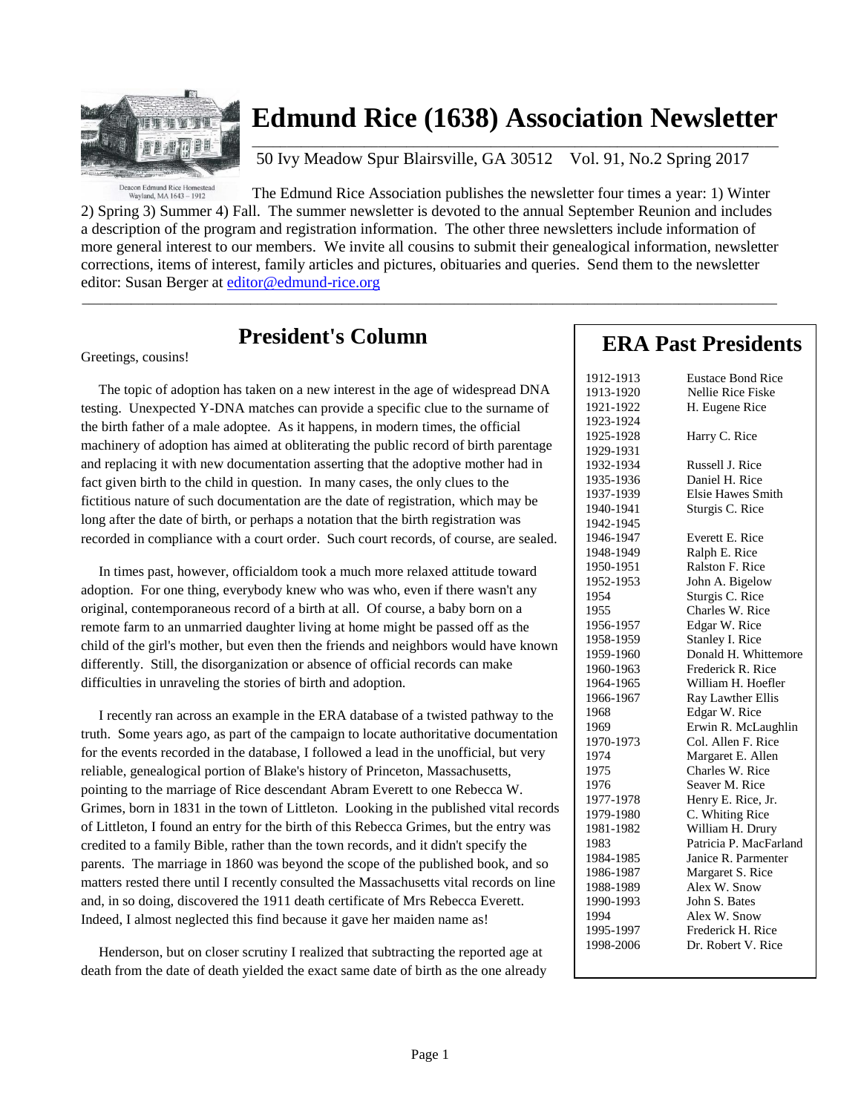

# **Edmund Rice (1638) Association Newsletter**

 $\overline{\phantom{a}}$  , and the set of the set of the set of the set of the set of the set of the set of the set of the set of the set of the set of the set of the set of the set of the set of the set of the set of the set of the s 50 Ivy Meadow Spur Blairsville, GA 30512 Vol. 91, No.2 Spring 2017

Deacon Edmund Rice Homestead<br>Wayland, MA 1643 - 1912

The Edmund Rice Association publishes the newsletter four times a year: 1) Winter 2) Spring 3) Summer 4) Fall. The summer newsletter is devoted to the annual September Reunion and includes a description of the program and registration information. The other three newsletters include information of more general interest to our members. We invite all cousins to submit their genealogical information, newsletter corrections, items of interest, family articles and pictures, obituaries and queries. Send them to the newsletter editor: Susan Berger at [editor@edmund-rice.org](mailto:editor@edmund-rice.org)

 $\_$  , and the set of the set of the set of the set of the set of the set of the set of the set of the set of the set of the set of the set of the set of the set of the set of the set of the set of the set of the set of th

# **President's Column**

Greetings, cousins!

 The topic of adoption has taken on a new interest in the age of widespread DNA testing. Unexpected Y-DNA matches can provide a specific clue to the surname of the birth father of a male adoptee. As it happens, in modern times, the official machinery of adoption has aimed at obliterating the public record of birth parentage and replacing it with new documentation asserting that the adoptive mother had in fact given birth to the child in question. In many cases, the only clues to the fictitious nature of such documentation are the date of registration, which may be long after the date of birth, or perhaps a notation that the birth registration was recorded in compliance with a court order. Such court records, of course, are sealed.

 In times past, however, officialdom took a much more relaxed attitude toward adoption. For one thing, everybody knew who was who, even if there wasn't any original, contemporaneous record of a birth at all. Of course, a baby born on a remote farm to an unmarried daughter living at home might be passed off as the child of the girl's mother, but even then the friends and neighbors would have known differently. Still, the disorganization or absence of official records can make difficulties in unraveling the stories of birth and adoption.

 I recently ran across an example in the ERA database of a twisted pathway to the truth. Some years ago, as part of the campaign to locate authoritative documentation for the events recorded in the database, I followed a lead in the unofficial, but very reliable, genealogical portion of Blake's history of Princeton, Massachusetts, pointing to the marriage of Rice descendant Abram Everett to one Rebecca W. Grimes, born in 1831 in the town of Littleton. Looking in the published vital records of Littleton, I found an entry for the birth of this Rebecca Grimes, but the entry was credited to a family Bible, rather than the town records, and it didn't specify the parents. The marriage in 1860 was beyond the scope of the published book, and so matters rested there until I recently consulted the Massachusetts vital records on line and, in so doing, discovered the 1911 death certificate of Mrs Rebecca Everett. Indeed, I almost neglected this find because it gave her maiden name as!

 Henderson, but on closer scrutiny I realized that subtracting the reported age at death from the date of death yielded the exact same date of birth as the one already

## **ERA Past Presidents**

| 1912-1913 | <b>Eustace Bond Rice</b> |
|-----------|--------------------------|
| 1913-1920 | Nellie Rice Fiske        |
| 1921-1922 | H. Eugene Rice           |
| 1923-1924 |                          |
| 1925-1928 | Harry C. Rice            |
| 1929-1931 |                          |
| 1932-1934 | Russell J. Rice          |
| 1935-1936 | Daniel H. Rice           |
| 1937-1939 | <b>Elsie Hawes Smith</b> |
| 1940-1941 | Sturgis C. Rice          |
| 1942-1945 |                          |
| 1946-1947 | Everett E. Rice          |
| 1948-1949 | Ralph E. Rice            |
| 1950-1951 | Ralston F. Rice          |
| 1952-1953 | John A. Bigelow          |
| 1954      | Sturgis C. Rice          |
| 1955      | Charles W. Rice          |
| 1956-1957 | Edgar W. Rice            |
| 1958-1959 | Stanley I. Rice          |
| 1959-1960 | Donald H. Whittemore     |
| 1960-1963 | Frederick R. Rice        |
| 1964-1965 | William H. Hoefler       |
| 1966-1967 | Ray Lawther Ellis        |
| 1968      | Edgar W. Rice            |
| 1969      | Erwin R. McLaughlin      |
| 1970-1973 | Col. Allen F. Rice       |
| 1974      | Margaret E. Allen        |
| 1975      | Charles W. Rice          |
| 1976      | Seaver M. Rice           |
| 1977-1978 | Henry E. Rice, Jr.       |
| 1979-1980 | C. Whiting Rice          |
| 1981-1982 | William H. Drury         |
| 1983      | Patricia P. MacFarland   |
| 1984-1985 | Janice R. Parmenter      |
| 1986-1987 | Margaret S. Rice         |
| 1988-1989 | Alex W. Snow             |
| 1990-1993 | John S. Bates            |
| 1994      | Alex W. Snow             |
| 1995-1997 | Frederick H. Rice        |
| 1998-2006 | Dr. Robert V. Rice       |
|           |                          |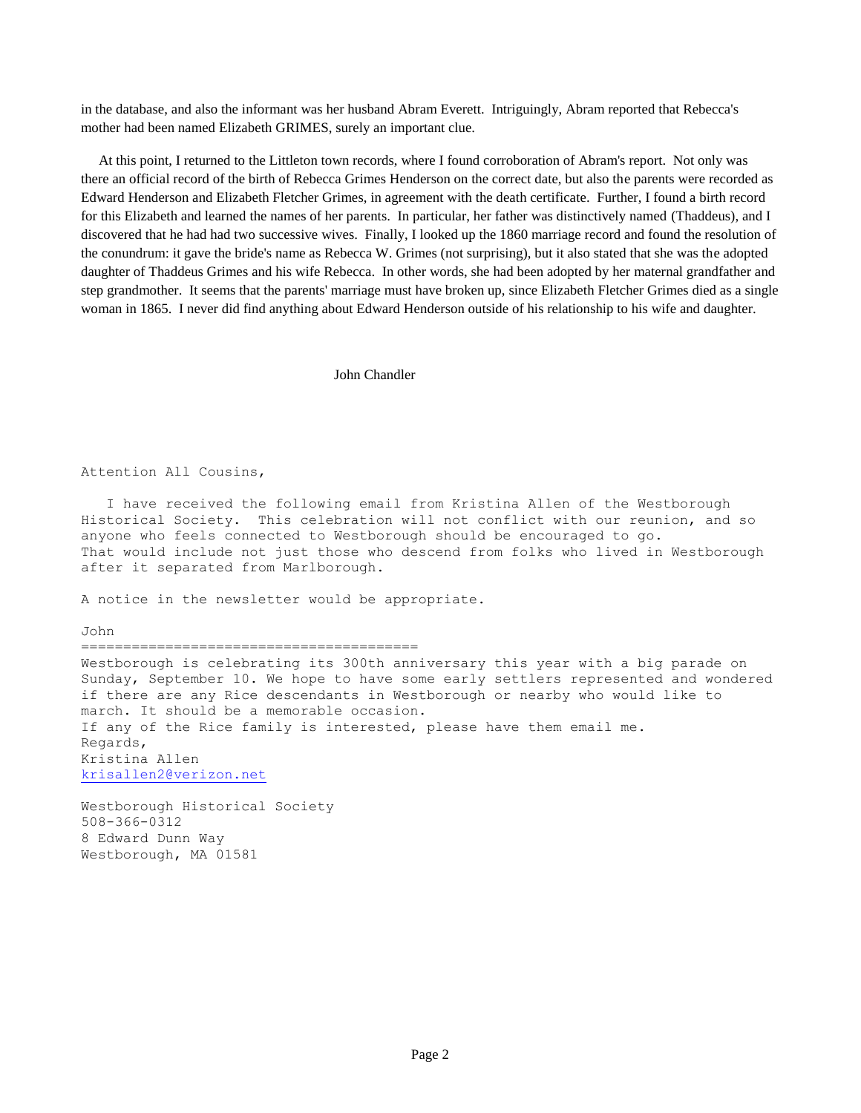in the database, and also the informant was her husband Abram Everett. Intriguingly, Abram reported that Rebecca's mother had been named Elizabeth GRIMES, surely an important clue.

 At this point, I returned to the Littleton town records, where I found corroboration of Abram's report. Not only was there an official record of the birth of Rebecca Grimes Henderson on the correct date, but also the parents were recorded as Edward Henderson and Elizabeth Fletcher Grimes, in agreement with the death certificate. Further, I found a birth record for this Elizabeth and learned the names of her parents. In particular, her father was distinctively named (Thaddeus), and I discovered that he had had two successive wives. Finally, I looked up the 1860 marriage record and found the resolution of the conundrum: it gave the bride's name as Rebecca W. Grimes (not surprising), but it also stated that she was the adopted daughter of Thaddeus Grimes and his wife Rebecca. In other words, she had been adopted by her maternal grandfather and step grandmother. It seems that the parents' marriage must have broken up, since Elizabeth Fletcher Grimes died as a single woman in 1865. I never did find anything about Edward Henderson outside of his relationship to his wife and daughter.

#### John Chandler

#### Attention All Cousins,

 I have received the following email from Kristina Allen of the Westborough Historical Society. This celebration will not conflict with our reunion, and so anyone who feels connected to Westborough should be encouraged to go. That would include not just those who descend from folks who lived in Westborough after it separated from Marlborough.

A notice in the newsletter would be appropriate.

John

#### ========================================

Westborough is celebrating its 300th anniversary this year with a big parade on Sunday, September 10. We hope to have some early settlers represented and wondered if there are any Rice descendants in Westborough or nearby who would like to march. It should be a memorable occasion. If any of the Rice family is interested, please have them email me. Regards, Kristina Allen [krisallen2@verizon.net](mailto:krisallen2@verizon.net)

Westborough Historical Society 508-366-0312 8 Edward Dunn Way Westborough, MA 01581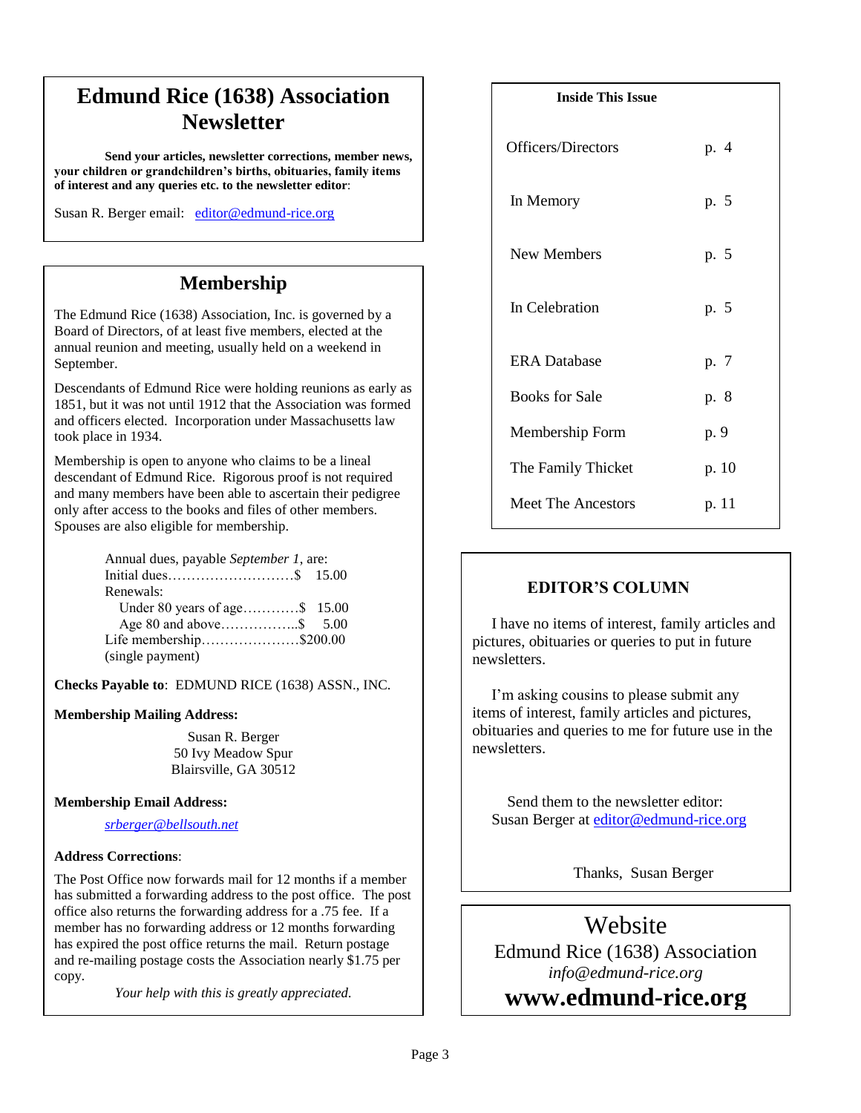# **Edmund Rice (1638) Association Newsletter**

**Send your articles, newsletter corrections, member news, your children or grandchildren's births, obituaries, family items of interest and any queries etc. to the newsletter editor**:

Susan R. Berger email: [editor@edmund-rice.org](mailto:editor@edmund-rice.org)

## **Membership**

The Edmund Rice (1638) Association, Inc. is governed by a Board of Directors, of at least five members, elected at the annual reunion and meeting, usually held on a weekend in September.

Descendants of Edmund Rice were holding reunions as early as 1851, but it was not until 1912 that the Association was formed and officers elected. Incorporation under Massachusetts law took place in 1934.

Membership is open to anyone who claims to be a lineal descendant of Edmund Rice. Rigorous proof is not required and many members have been able to ascertain their pedigree only after access to the books and files of other members. Spouses are also eligible for membership.

| Annual dues, payable September 1, are: |  |
|----------------------------------------|--|
|                                        |  |
| Renewals:                              |  |
| Under 80 years of age \$ 15.00         |  |
|                                        |  |
| Life membership\$200.00                |  |
| (single payment)                       |  |

**Checks Payable to**: EDMUND RICE (1638) ASSN., INC.

### **Membership Mailing Address:**

Susan R. Berger 50 Ivy Meadow Spur Blairsville, GA 30512

### **Membership Email Address:**

*[srberger@bellsouth.net](mailto:srberger@bellsouth.net)*

### **Address Corrections**:

The Post Office now forwards mail for 12 months if a member has submitted a forwarding address to the post office. The post office also returns the forwarding address for a .75 fee. If a member has no forwarding address or 12 months forwarding has expired the post office returns the mail. Return postage and re-mailing postage costs the Association nearly \$1.75 per copy.

*Your help with this is greatly appreciated.*

#### **Inside This Issue**

| Officers/Directors        | p. 4  |
|---------------------------|-------|
| In Memory                 | p. 5  |
| New Members               | p. 5  |
| In Celebration            | p. 5  |
| <b>ERA</b> Database       | p. 7  |
| <b>Books for Sale</b>     | p. 8  |
| Membership Form           | p. 9  |
| The Family Thicket        | p. 10 |
| <b>Meet The Ancestors</b> | p. 11 |

### **EDITOR'S COLUMN**

 I have no items of interest, family articles and pictures, obituaries or queries to put in future newsletters.

 I'm asking cousins to please submit any items of interest, family articles and pictures, obituaries and queries to me for future use in the newsletters.

 Send them to the newsletter editor: Susan Berger at [editor@edmund-rice.org](mailto:editor@edmund-rice.org)

Thanks, Susan Berger

Edmund Rice (1638) Association Website *info@edmund-rice.org*

**2014 - 2015 Officers www.edmund-rice.org**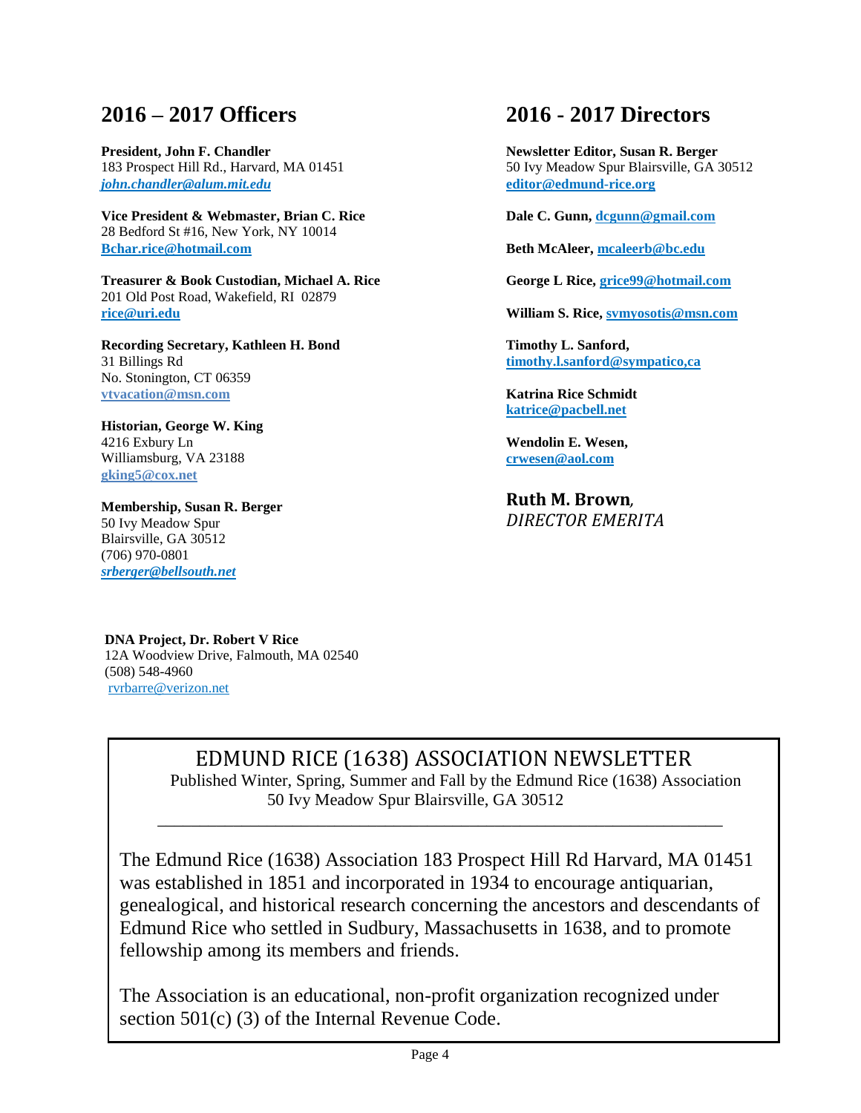## **2016 – 2017 Officers**

**President, John F. Chandler** 183 Prospect Hill Rd., Harvard, MA 01451 *[john.chandler@alum.mit.edu](mailto:john.chandler@alum.mit.edu)*

**Vice President & Webmaster, Brian C. Rice** 28 Bedford St #16, New York, NY 10014 **Bchar.rice@hotmail.com**

**Treasurer & Book Custodian, Michael A. Rice** 201 Old Post Road, Wakefield, RI 02879 **[rice@uri.edu](mailto:rice@uri.edu)**

**Recording Secretary, Kathleen H. Bond** 31 Billings Rd No. Stonington, CT 06359 **vtvacation@msn.com**

**Historian, George W. King** 4216 Exbury Ln Williamsburg, VA 23188 **[gking5@cox.net](mailto:gking5@cox.net)**

**Membership, Susan R. Berger** 50 Ivy Meadow Spur Blairsville, GA 30512 (706) 970-0801 *[srberger@bellsouth.net](mailto:srberger@bellsouth.net)*

## **2016 - 2017 Directors**

**Newsletter Editor, Susan R. Berger** 50 Ivy Meadow Spur Blairsville, GA 30512 **[editor@edmund-rice.org](mailto:editor@edmund-rice.org)**

**Dale C. Gunn[, dcgunn@gmail.com](mailto:dcgunn@gmail.com)**

**Beth McAleer, [mcaleerb@bc.edu](mailto:mcaleerb@bc.edu)**

**George L Rice, grice99@hotmail.com**

**William S. Rice, [svmyosotis@msn.com](mailto:svmyosotis@msn.com)**

**Timothy L. Sanford, [timothy.l.sanford@sympatico,ca](mailto:timothy.l.sanford@sympatico,ca)**

**Katrina Rice Schmidt katrice@pacbell.net**

**Wendolin E. Wesen, [crwesen@aol.com](mailto:crwesen@aol.com)**

**Ruth M. Brown***, DIRECTOR EMERITA*

**DNA Project, Dr. Robert V Rice** 12A Woodview Drive, Falmouth, MA 02540 (508) 548-4960 [rvrbarre@verizon.net](mailto:rvrbarre@verizon.net)

# EDMUND RICE (1638) ASSOCIATION NEWSLETTER

Published Winter, Spring, Summer and Fall by the Edmund Rice (1638) Association 50 Ivy Meadow Spur Blairsville, GA 30512

The Edmund Rice (1638) Association 183 Prospect Hill Rd Harvard, MA 01451 was established in 1851 and incorporated in 1934 to encourage antiquarian, genealogical, and historical research concerning the ancestors and descendants of Edmund Rice who settled in Sudbury, Massachusetts in 1638, and to promote fellowship among its members and friends.

\_\_\_\_\_\_\_\_\_\_\_\_\_\_\_\_\_\_\_\_\_\_\_\_\_\_\_\_\_\_\_\_\_\_\_\_\_\_\_\_\_\_\_\_\_\_\_\_\_\_\_\_\_\_\_\_\_\_\_\_\_\_\_\_\_\_\_

The Association is an educational, non-profit organization recognized under section 501(c) (3) of the Internal Revenue Code.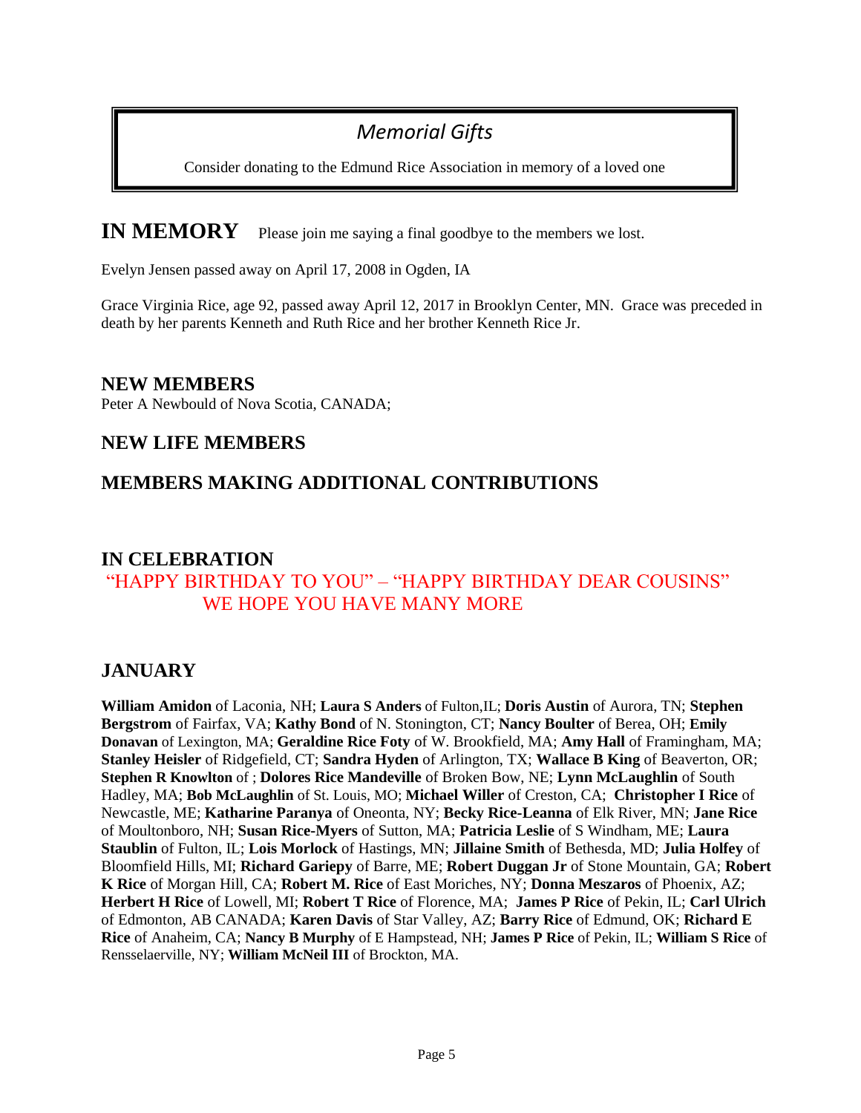# *Memorial Gifts*

Consider donating to the Edmund Rice Association in memory of a loved one

**IN MEMORY** Please join me saying a final goodbye to the members we lost.

Evelyn Jensen passed away on April 17, 2008 in Ogden, IA

Grace Virginia Rice, age 92, passed away April 12, 2017 in Brooklyn Center, MN. Grace was preceded in death by her parents Kenneth and Ruth Rice and her brother Kenneth Rice Jr.

### **NEW MEMBERS**

Peter A Newbould of Nova Scotia, CANADA;

### **NEW LIFE MEMBERS**

## **MEMBERS MAKING ADDITIONAL CONTRIBUTIONS**

## **IN CELEBRATION**  "HAPPY BIRTHDAY TO YOU" – "HAPPY BIRTHDAY DEAR COUSINS" WE HOPE YOU HAVE MANY MORE

## **JANUARY**

**William Amidon** of Laconia, NH; **Laura S Anders** of Fulton,IL; **Doris Austin** of Aurora, TN; **Stephen Bergstrom** of Fairfax, VA; **Kathy Bond** of N. Stonington, CT; **Nancy Boulter** of Berea, OH; **Emily Donavan** of Lexington, MA; **Geraldine Rice Foty** of W. Brookfield, MA; **Amy Hall** of Framingham, MA; **Stanley Heisler** of Ridgefield, CT; **Sandra Hyden** of Arlington, TX; **Wallace B King** of Beaverton, OR; **Stephen R Knowlton** of ; **Dolores Rice Mandeville** of Broken Bow, NE; **Lynn McLaughlin** of South Hadley, MA; **Bob McLaughlin** of St. Louis, MO; **Michael Willer** of Creston, CA; **Christopher I Rice** of Newcastle, ME; **Katharine Paranya** of Oneonta, NY; **Becky Rice-Leanna** of Elk River, MN; **Jane Rice** of Moultonboro, NH; **Susan Rice-Myers** of Sutton, MA; **Patricia Leslie** of S Windham, ME; **Laura Staublin** of Fulton, IL; **Lois Morlock** of Hastings, MN; **Jillaine Smith** of Bethesda, MD; **Julia Holfey** of Bloomfield Hills, MI; **Richard Gariepy** of Barre, ME; **Robert Duggan Jr** of Stone Mountain, GA; **Robert K Rice** of Morgan Hill, CA; **Robert M. Rice** of East Moriches, NY; **Donna Meszaros** of Phoenix, AZ; **Herbert H Rice** of Lowell, MI; **Robert T Rice** of Florence, MA; **James P Rice** of Pekin, IL; **Carl Ulrich** of Edmonton, AB CANADA; **Karen Davis** of Star Valley, AZ; **Barry Rice** of Edmund, OK; **Richard E Rice** of Anaheim, CA; **Nancy B Murphy** of E Hampstead, NH; **James P Rice** of Pekin, IL; **William S Rice** of Rensselaerville, NY; **William McNeil III** of Brockton, MA.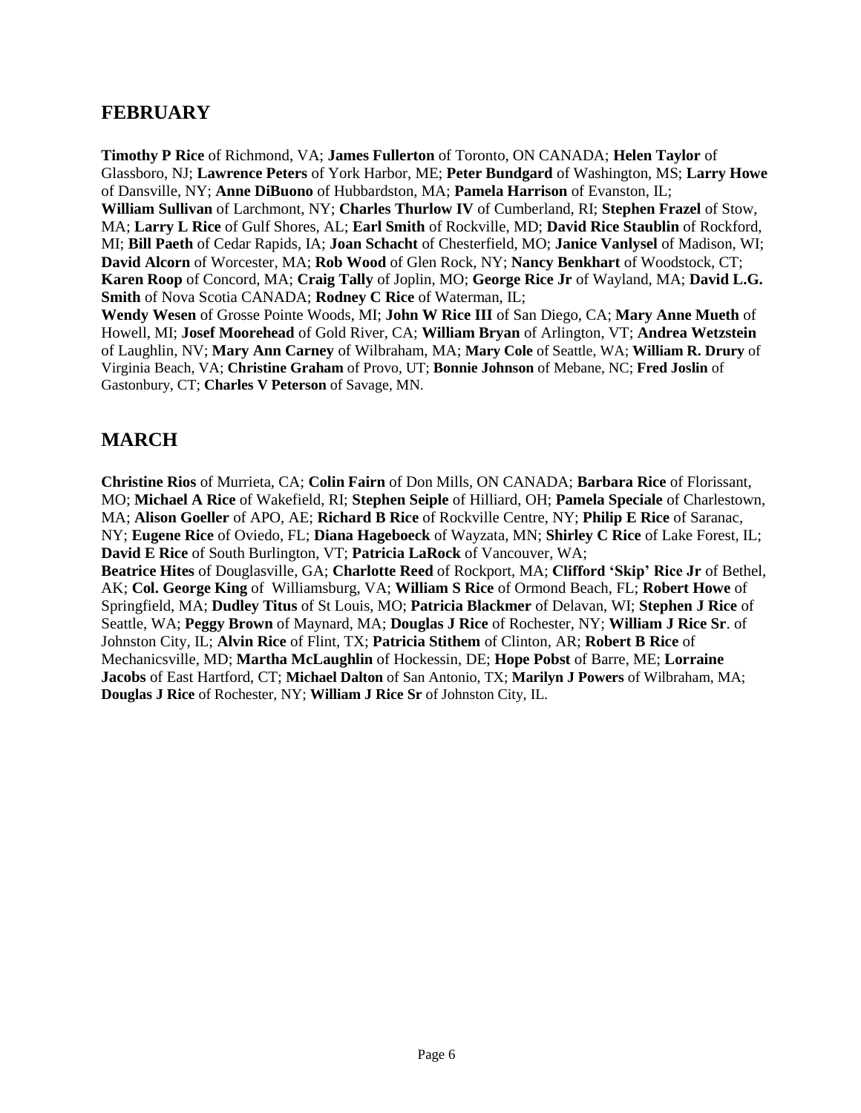### **FEBRUARY**

**Timothy P Rice** of Richmond, VA; **James Fullerton** of Toronto, ON CANADA; **Helen Taylor** of Glassboro, NJ; **Lawrence Peters** of York Harbor, ME; **Peter Bundgard** of Washington, MS; **Larry Howe** of Dansville, NY; **Anne DiBuono** of Hubbardston, MA; **Pamela Harrison** of Evanston, IL; **William Sullivan** of Larchmont, NY; **Charles Thurlow IV** of Cumberland, RI; **Stephen Frazel** of Stow, MA; **Larry L Rice** of Gulf Shores, AL; **Earl Smith** of Rockville, MD; **David Rice Staublin** of Rockford, MI; **Bill Paeth** of Cedar Rapids, IA; **Joan Schacht** of Chesterfield, MO; **Janice Vanlysel** of Madison, WI; **David Alcorn** of Worcester, MA; **Rob Wood** of Glen Rock, NY; **Nancy Benkhart** of Woodstock, CT; **Karen Roop** of Concord, MA; **Craig Tally** of Joplin, MO; **George Rice Jr** of Wayland, MA; **David L.G. Smith** of Nova Scotia CANADA; **Rodney C Rice** of Waterman, IL;

**Wendy Wesen** of Grosse Pointe Woods, MI; **John W Rice III** of San Diego, CA; **Mary Anne Mueth** of Howell, MI; **Josef Moorehead** of Gold River, CA; **William Bryan** of Arlington, VT; **Andrea Wetzstein** of Laughlin, NV; **Mary Ann Carney** of Wilbraham, MA; **Mary Cole** of Seattle, WA; **William R. Drury** of Virginia Beach, VA; **Christine Graham** of Provo, UT; **Bonnie Johnson** of Mebane, NC; **Fred Joslin** of Gastonbury, CT; **Charles V Peterson** of Savage, MN.

## **MARCH**

**Christine Rios** of Murrieta, CA; **Colin Fairn** of Don Mills, ON CANADA; **Barbara Rice** of Florissant, MO; **Michael A Rice** of Wakefield, RI; **Stephen Seiple** of Hilliard, OH; **Pamela Speciale** of Charlestown, MA; **Alison Goeller** of APO, AE; **Richard B Rice** of Rockville Centre, NY; **Philip E Rice** of Saranac, NY; **Eugene Rice** of Oviedo, FL; **Diana Hageboeck** of Wayzata, MN; **Shirley C Rice** of Lake Forest, IL; **David E Rice** of South Burlington, VT; **Patricia LaRock** of Vancouver, WA; **Beatrice Hites** of Douglasville, GA; **Charlotte Reed** of Rockport, MA; **Clifford 'Skip' Rice Jr** of Bethel, AK; **Col. George King** of Williamsburg, VA; **William S Rice** of Ormond Beach, FL; **Robert Howe** of Springfield, MA; **Dudley Titus** of St Louis, MO; **Patricia Blackmer** of Delavan, WI; **Stephen J Rice** of Seattle, WA; **Peggy Brown** of Maynard, MA; **Douglas J Rice** of Rochester, NY; **William J Rice Sr**. of Johnston City, IL; **Alvin Rice** of Flint, TX; **Patricia Stithem** of Clinton, AR; **Robert B Rice** of Mechanicsville, MD; **Martha McLaughlin** of Hockessin, DE; **Hope Pobst** of Barre, ME; **Lorraine Jacobs** of East Hartford, CT; **Michael Dalton** of San Antonio, TX; **Marilyn J Powers** of Wilbraham, MA; **Douglas J Rice** of Rochester, NY; **William J Rice Sr** of Johnston City, IL.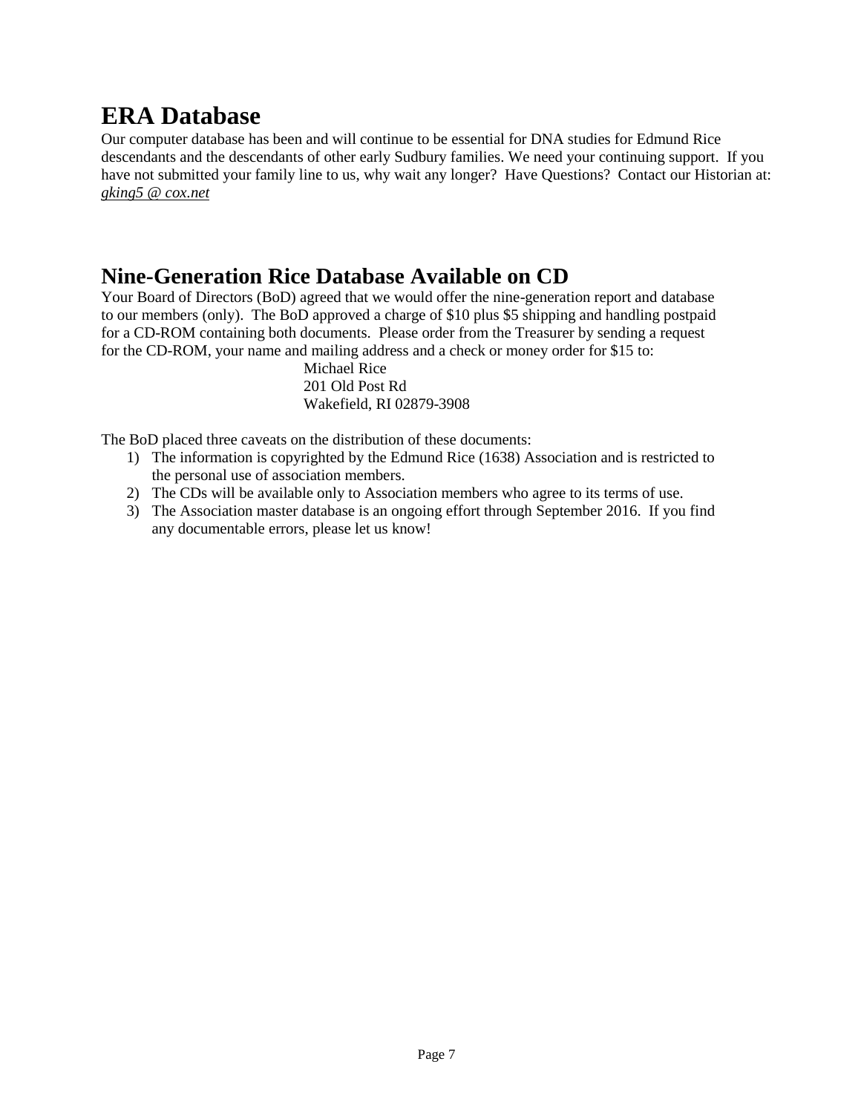# **ERA Database**

Our computer database has been and will continue to be essential for DNA studies for Edmund Rice descendants and the descendants of other early Sudbury families. We need your continuing support. If you have not submitted your family line to us, why wait any longer? Have Questions? Contact our Historian at: *[gking5 @ cox.net](mailto:gking5@cox.net)*

# **Nine-Generation Rice Database Available on CD**

Your Board of Directors (BoD) agreed that we would offer the nine-generation report and database to our members (only). The BoD approved a charge of \$10 plus \$5 shipping and handling postpaid for a CD-ROM containing both documents. Please order from the Treasurer by sending a request for the CD-ROM, your name and mailing address and a check or money order for \$15 to:

> Michael Rice 201 Old Post Rd Wakefield, RI 02879-3908

The BoD placed three caveats on the distribution of these documents:

- 1) The information is copyrighted by the Edmund Rice (1638) Association and is restricted to the personal use of association members.
- 2) The CDs will be available only to Association members who agree to its terms of use.
- 3) The Association master database is an ongoing effort through September 2016. If you find any documentable errors, please let us know!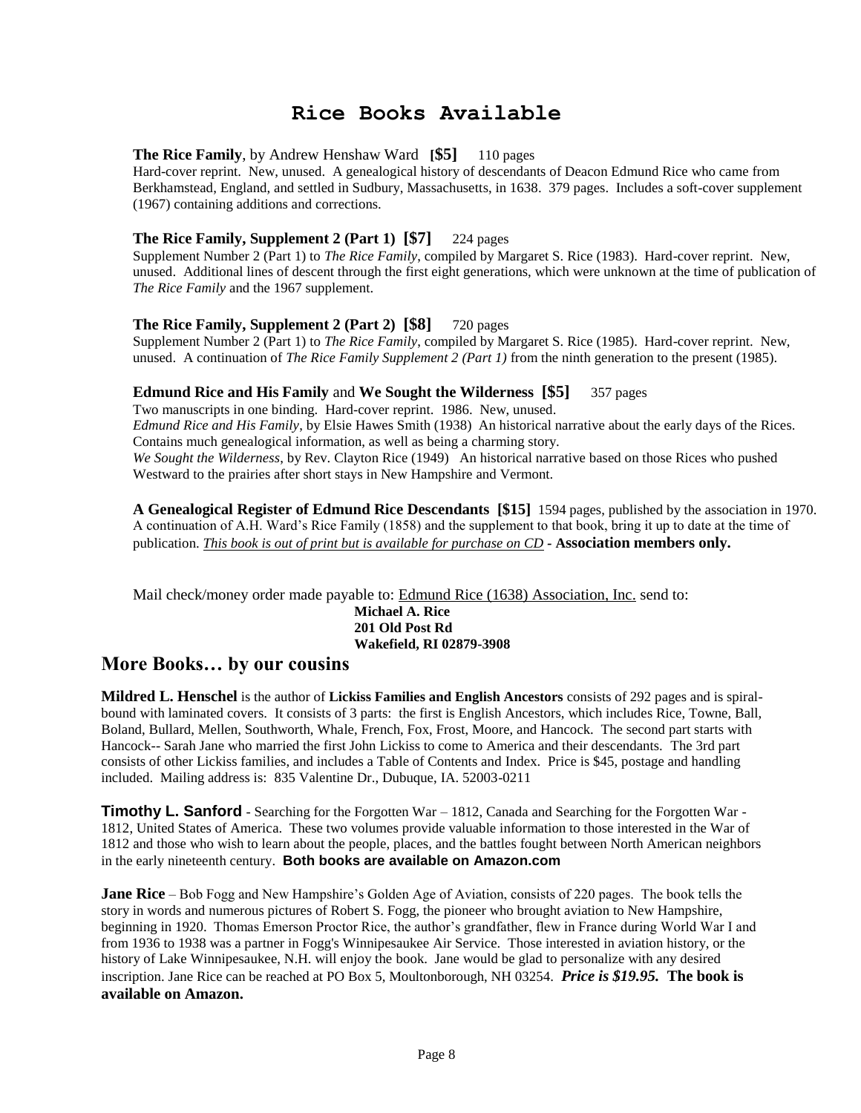### **Rice Books Available**

### **The Rice Family**, by Andrew Henshaw Ward **[\$5]** 110 pages

Hard-cover reprint. New, unused. A genealogical history of descendants of Deacon Edmund Rice who came from Berkhamstead, England, and settled in Sudbury, Massachusetts, in 1638. 379 pages. Includes a soft-cover supplement (1967) containing additions and corrections.

### **The Rice Family, Supplement 2 (Part 1) [\$7]** 224 pages

Supplement Number 2 (Part 1) to *The Rice Family*, compiled by Margaret S. Rice (1983). Hard-cover reprint. New, unused. Additional lines of descent through the first eight generations, which were unknown at the time of publication of *The Rice Family* and the 1967 supplement.

#### **The Rice Family, Supplement 2 (Part 2) [\$8]** 720 pages

Supplement Number 2 (Part 1) to *The Rice Family*, compiled by Margaret S. Rice (1985). Hard-cover reprint. New, unused. A continuation of *The Rice Family Supplement 2 (Part 1)* from the ninth generation to the present (1985).

#### **Edmund Rice and His Family** and **We Sought the Wilderness [\$5]** 357 pages

Two manuscripts in one binding. Hard-cover reprint. 1986. New, unused. *Edmund Rice and His Family*, by Elsie Hawes Smith (1938) An historical narrative about the early days of the Rices. Contains much genealogical information, as well as being a charming story. *We Sought the Wilderness*, by Rev. Clayton Rice (1949) An historical narrative based on those Rices who pushed Westward to the prairies after short stays in New Hampshire and Vermont.

**A Genealogical Register of Edmund Rice Descendants [\$15]** 1594 pages, published by the association in 1970. A continuation of A.H. Ward's Rice Family (1858) and the supplement to that book, bring it up to date at the time of publication. *This book is out of print but is available for purchase on CD -* **Association members only.**

Mail check/money order made payable to: Edmund Rice (1638) Association, Inc. send to:

**Michael A. Rice 201 Old Post Rd Wakefield, RI 02879-3908**

### **More Books… by our cousins**

**Mildred L. Henschel** is the author of **Lickiss Families and English Ancestors** consists of 292 pages and is spiralbound with laminated covers. It consists of 3 parts: the first is English Ancestors, which includes Rice, Towne, Ball, Boland, Bullard, Mellen, Southworth, Whale, French, Fox, Frost, Moore, and Hancock. The second part starts with Hancock-- Sarah Jane who married the first John Lickiss to come to America and their descendants. The 3rd part consists of other Lickiss families, and includes a Table of Contents and Index. Price is \$45, postage and handling included. Mailing address is: 835 Valentine Dr., Dubuque, IA. 52003-0211

**Timothy L. Sanford** - Searching for the Forgotten War – 1812, Canada and Searching for the Forgotten War -1812, United States of America. These two volumes provide valuable information to those interested in the War of 1812 and those who wish to learn about the people, places, and the battles fought between North American neighbors in the early nineteenth century. **Both books are available on Amazon.com**

**Jane Rice** – Bob Fogg and New Hampshire's Golden Age of Aviation, consists of 220 pages. The book tells the story in words and numerous pictures of Robert S. Fogg, the pioneer who brought aviation to New Hampshire, beginning in 1920. Thomas Emerson Proctor Rice, the author's grandfather, flew in France during World War I and from 1936 to 1938 was a partner in Fogg's Winnipesaukee Air Service. Those interested in aviation history, or the history of Lake Winnipesaukee, N.H. will enjoy the book. Jane would be glad to personalize with any desired inscription. Jane Rice can be reached at PO Box 5, Moultonborough, NH 03254. *Price is \$19.95.* **The book is available on Amazon.**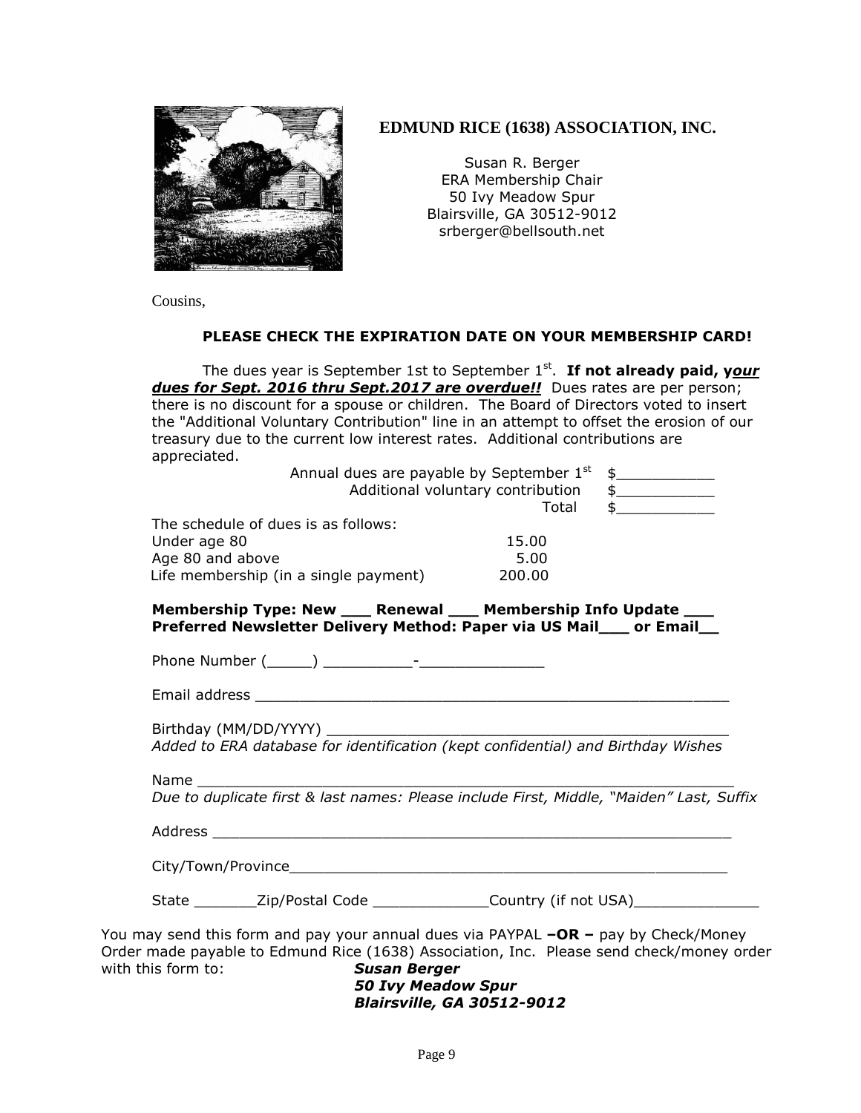

### **EDMUND RICE (1638) ASSOCIATION, INC.**

Susan R. Berger ERA Membership Chair 50 Ivy Meadow Spur Blairsville, GA 30512-9012 srberger@bellsouth.net

Cousins,

### **PLEASE CHECK THE EXPIRATION DATE ON YOUR MEMBERSHIP CARD!**

The dues year is September 1st to September 1<sup>st</sup>. If not already paid, your *dues for Sept. 2016 thru Sept.2017 are overdue!!* Dues rates are per person; there is no discount for a spouse or children. The Board of Directors voted to insert the "Additional Voluntary Contribution" line in an attempt to offset the erosion of our treasury due to the current low interest rates. Additional contributions are appreciated.

| Annual dues are payable by September 1st<br>Additional voluntary contribution                                                               |        | $\begin{picture}(20,20) \put(0,0){\vector(1,0){100}} \put(15,0){\vector(1,0){100}} \put(15,0){\vector(1,0){100}} \put(15,0){\vector(1,0){100}} \put(15,0){\vector(1,0){100}} \put(15,0){\vector(1,0){100}} \put(15,0){\vector(1,0){100}} \put(15,0){\vector(1,0){100}} \put(15,0){\vector(1,0){100}} \put(15,0){\vector(1,0){100}} \put(15,0){\vector(1,0){100}} \$<br>$\begin{picture}(20,20) \put(0,0){\vector(1,0){100}} \put(15,0){\vector(1,0){100}} \put(15,0){\vector(1,0){100}} \put(15,0){\vector(1,0){100}} \put(15,0){\vector(1,0){100}} \put(15,0){\vector(1,0){100}} \put(15,0){\vector(1,0){100}} \put(15,0){\vector(1,0){100}} \put(15,0){\vector(1,0){100}} \put(15,0){\vector(1,0){100}} \put(15,0){\vector(1,0){100}} \$ |
|---------------------------------------------------------------------------------------------------------------------------------------------|--------|--------------------------------------------------------------------------------------------------------------------------------------------------------------------------------------------------------------------------------------------------------------------------------------------------------------------------------------------------------------------------------------------------------------------------------------------------------------------------------------------------------------------------------------------------------------------------------------------------------------------------------------------------------------------------------------------------------------------------------------------|
|                                                                                                                                             | Total  | $\frac{1}{2}$                                                                                                                                                                                                                                                                                                                                                                                                                                                                                                                                                                                                                                                                                                                              |
| The schedule of dues is as follows:                                                                                                         |        |                                                                                                                                                                                                                                                                                                                                                                                                                                                                                                                                                                                                                                                                                                                                            |
| Under age 80                                                                                                                                | 15.00  |                                                                                                                                                                                                                                                                                                                                                                                                                                                                                                                                                                                                                                                                                                                                            |
| Age 80 and above                                                                                                                            | 5.00   |                                                                                                                                                                                                                                                                                                                                                                                                                                                                                                                                                                                                                                                                                                                                            |
| Life membership (in a single payment)                                                                                                       | 200.00 |                                                                                                                                                                                                                                                                                                                                                                                                                                                                                                                                                                                                                                                                                                                                            |
| Membership Type: New ____ Renewal ____ Membership Info Update ____<br>Preferred Newsletter Delivery Method: Paper via US Mail___ or Email__ |        |                                                                                                                                                                                                                                                                                                                                                                                                                                                                                                                                                                                                                                                                                                                                            |
|                                                                                                                                             |        |                                                                                                                                                                                                                                                                                                                                                                                                                                                                                                                                                                                                                                                                                                                                            |
|                                                                                                                                             |        |                                                                                                                                                                                                                                                                                                                                                                                                                                                                                                                                                                                                                                                                                                                                            |
| Birthday (MM/DD/YYYY)<br>Added to ERA database for identification (kept confidential) and Birthday Wishes                                   |        |                                                                                                                                                                                                                                                                                                                                                                                                                                                                                                                                                                                                                                                                                                                                            |
| Name and the set of the set of the set of the set of the set of the set of the set of the set of the set of th                              |        |                                                                                                                                                                                                                                                                                                                                                                                                                                                                                                                                                                                                                                                                                                                                            |
| Due to duplicate first & last names: Please include First, Middle, "Maiden" Last, Suffix                                                    |        |                                                                                                                                                                                                                                                                                                                                                                                                                                                                                                                                                                                                                                                                                                                                            |
|                                                                                                                                             |        |                                                                                                                                                                                                                                                                                                                                                                                                                                                                                                                                                                                                                                                                                                                                            |
|                                                                                                                                             |        |                                                                                                                                                                                                                                                                                                                                                                                                                                                                                                                                                                                                                                                                                                                                            |
| State ____________Zip/Postal Code __________________Country (if not USA)___________________________                                         |        |                                                                                                                                                                                                                                                                                                                                                                                                                                                                                                                                                                                                                                                                                                                                            |
| You may send this form and pay your annual dues via PAYPAL $-OR - pay$ by Check/Money                                                       |        |                                                                                                                                                                                                                                                                                                                                                                                                                                                                                                                                                                                                                                                                                                                                            |
| Order made payable to Edmund Rice (1638) Association, Inc. Please send check/money order                                                    |        |                                                                                                                                                                                                                                                                                                                                                                                                                                                                                                                                                                                                                                                                                                                                            |
| with this form to: Susan Berger                                                                                                             |        |                                                                                                                                                                                                                                                                                                                                                                                                                                                                                                                                                                                                                                                                                                                                            |

*50 Ivy Meadow Spur Blairsville, GA 30512-9012*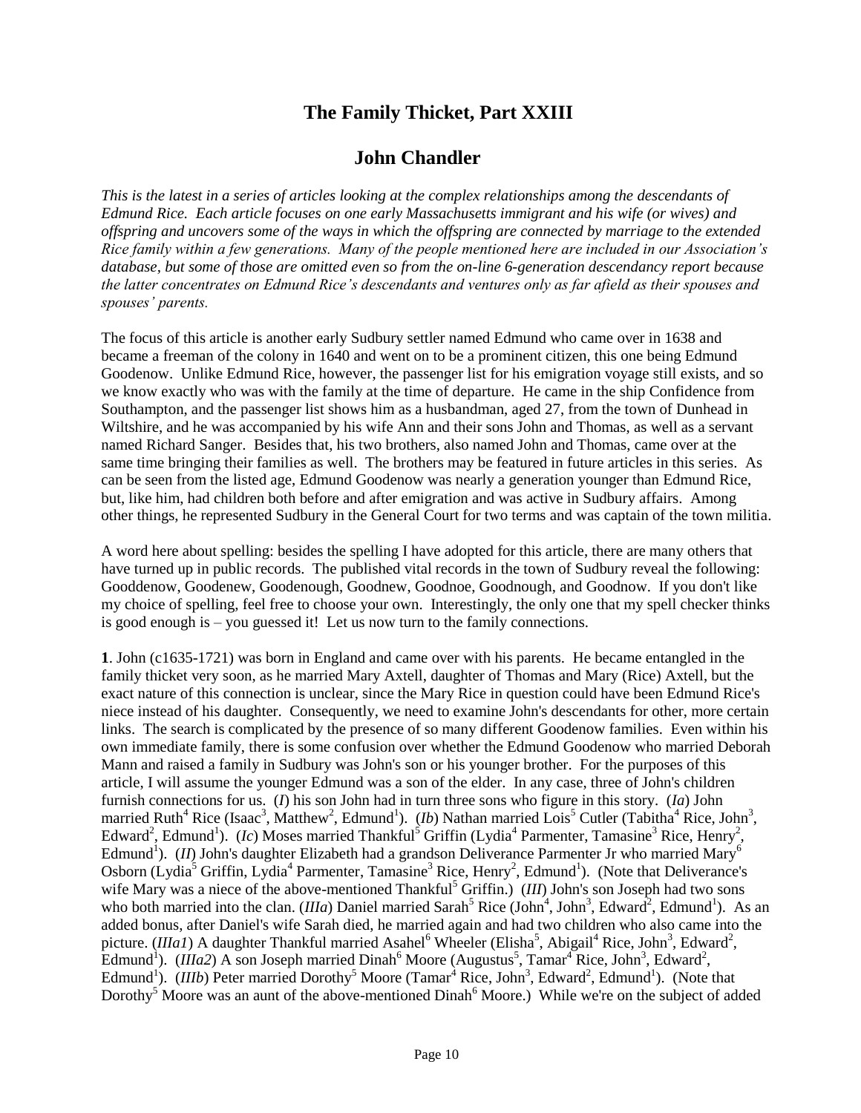## **The Family Thicket, Part XXIII**

### **John Chandler**

*This is the latest in a series of articles looking at the complex relationships among the descendants of Edmund Rice. Each article focuses on one early Massachusetts immigrant and his wife (or wives) and offspring and uncovers some of the ways in which the offspring are connected by marriage to the extended Rice family within a few generations. Many of the people mentioned here are included in our Association's database, but some of those are omitted even so from the on-line 6-generation descendancy report because the latter concentrates on Edmund Rice's descendants and ventures only as far afield as their spouses and spouses' parents.*

The focus of this article is another early Sudbury settler named Edmund who came over in 1638 and became a freeman of the colony in 1640 and went on to be a prominent citizen, this one being Edmund Goodenow. Unlike Edmund Rice, however, the passenger list for his emigration voyage still exists, and so we know exactly who was with the family at the time of departure. He came in the ship Confidence from Southampton, and the passenger list shows him as a husbandman, aged 27, from the town of Dunhead in Wiltshire, and he was accompanied by his wife Ann and their sons John and Thomas, as well as a servant named Richard Sanger. Besides that, his two brothers, also named John and Thomas, came over at the same time bringing their families as well. The brothers may be featured in future articles in this series. As can be seen from the listed age, Edmund Goodenow was nearly a generation younger than Edmund Rice, but, like him, had children both before and after emigration and was active in Sudbury affairs. Among other things, he represented Sudbury in the General Court for two terms and was captain of the town militia.

A word here about spelling: besides the spelling I have adopted for this article, there are many others that have turned up in public records. The published vital records in the town of Sudbury reveal the following: Gooddenow, Goodenew, Goodenough, Goodnew, Goodnoe, Goodnough, and Goodnow. If you don't like my choice of spelling, feel free to choose your own. Interestingly, the only one that my spell checker thinks is good enough is – you guessed it! Let us now turn to the family connections.

**1**. John (c1635-1721) was born in England and came over with his parents. He became entangled in the family thicket very soon, as he married Mary Axtell, daughter of Thomas and Mary (Rice) Axtell, but the exact nature of this connection is unclear, since the Mary Rice in question could have been Edmund Rice's niece instead of his daughter. Consequently, we need to examine John's descendants for other, more certain links. The search is complicated by the presence of so many different Goodenow families. Even within his own immediate family, there is some confusion over whether the Edmund Goodenow who married Deborah Mann and raised a family in Sudbury was John's son or his younger brother. For the purposes of this article, I will assume the younger Edmund was a son of the elder. In any case, three of John's children furnish connections for us. (*I*) his son John had in turn three sons who figure in this story. (*Ia*) John married Ruth<sup>4</sup> Rice (Isaac<sup>3</sup>, Matthew<sup>2</sup>, Edmund<sup>1</sup>). (*Ib*) Nathan married Lois<sup>5</sup> Cutler (Tabitha<sup>4</sup> Rice, John<sup>3</sup>, Edward<sup>2</sup>, Edmund<sup>1</sup>). (*Ic*) Moses married Thankful<sup>5</sup> Griffin (Lydia<sup>4</sup> Parmenter, Tamasine<sup>3</sup> Rice, Henry<sup>2</sup>, Edmund<sup>1</sup>). (*II*) John's daughter Elizabeth had a grandson Deliverance Parmenter Jr who married Mary<sup>6</sup> Osborn (Lydia<sup>5</sup> Griffin, Lydia<sup>4</sup> Parmenter, Tamasine<sup>3</sup> Rice, Henry<sup>2</sup>, Edmund<sup>1</sup>). (Note that Deliverance's wife Mary was a niece of the above-mentioned Thankful<sup>5</sup> Griffin.) (*III*) John's son Joseph had two sons who both married into the clan. *(IIIa)* Daniel married Sarah<sup>5</sup> Rice (John<sup>4</sup>, John<sup>3</sup>, Edward<sup>2</sup>, Edmund<sup>1</sup>). As an added bonus, after Daniel's wife Sarah died, he married again and had two children who also came into the picture. (*IIIa1*) A daughter Thankful married Asahel<sup>6</sup> Wheeler (Elisha<sup>5</sup>, Abigail<sup>4</sup> Rice, John<sup>3</sup>, Edward<sup>2</sup>, Edmund<sup>1</sup>). (*IIIa2*) A son Joseph married Dinah<sup>6</sup> Moore (Augustus<sup>5</sup>, Tamar<sup>4</sup> Rice, John<sup>3</sup>, Edward<sup>2</sup>, Edmund<sup>1</sup>). (*IIIb*) Peter married Dorothy<sup>5</sup> Moore (Tamar<sup>4</sup> Rice, John<sup>3</sup>, Edward<sup>2</sup>, Edmund<sup>1</sup>). (Note that Dorothy<sup>5</sup> Moore was an aunt of the above-mentioned Dinah<sup>6</sup> Moore.) While we're on the subject of added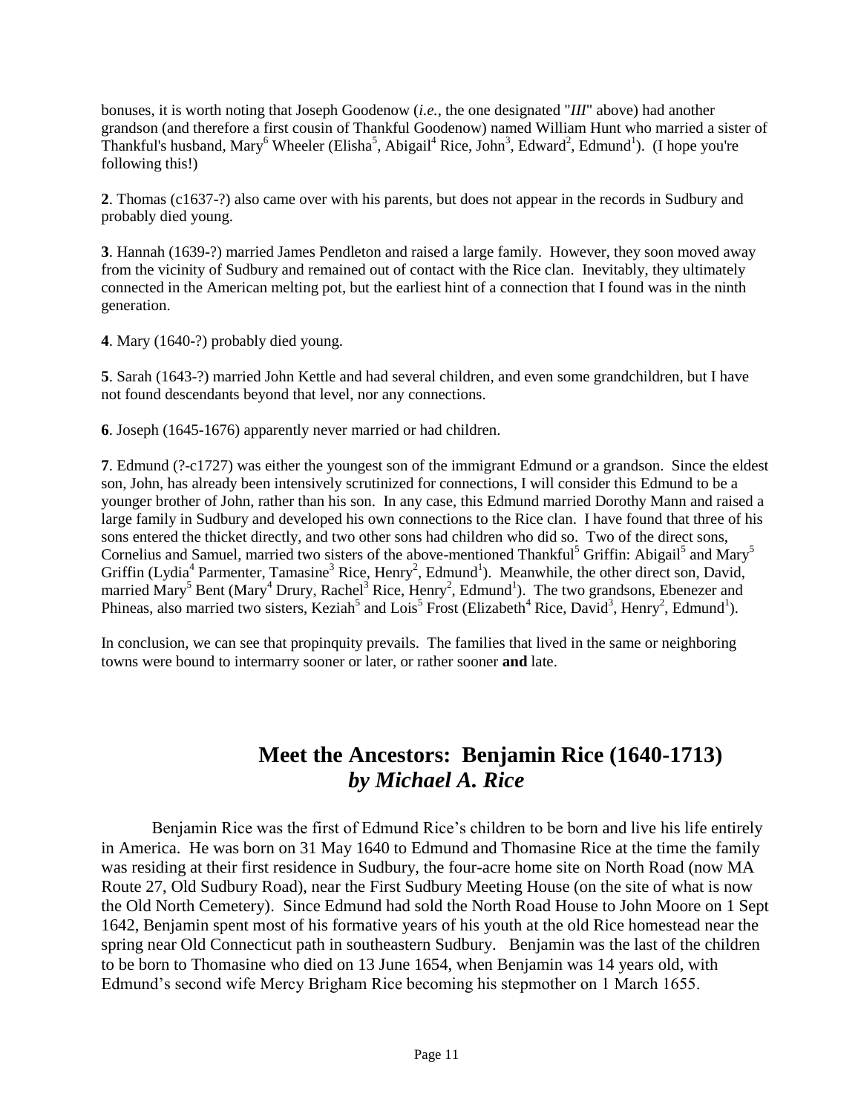bonuses, it is worth noting that Joseph Goodenow (*i.e.*, the one designated "*III*" above) had another grandson (and therefore a first cousin of Thankful Goodenow) named William Hunt who married a sister of Thankful's husband, Mary<sup>6</sup> Wheeler (Elisha<sup>5</sup>, Abigail<sup>4</sup> Rice, John<sup>3</sup>, Edward<sup>2</sup>, Edmund<sup>1</sup>). (I hope you're following this!)

**2**. Thomas (c1637-?) also came over with his parents, but does not appear in the records in Sudbury and probably died young.

**3**. Hannah (1639-?) married James Pendleton and raised a large family. However, they soon moved away from the vicinity of Sudbury and remained out of contact with the Rice clan. Inevitably, they ultimately connected in the American melting pot, but the earliest hint of a connection that I found was in the ninth generation.

**4**. Mary (1640-?) probably died young.

**5**. Sarah (1643-?) married John Kettle and had several children, and even some grandchildren, but I have not found descendants beyond that level, nor any connections.

**6**. Joseph (1645-1676) apparently never married or had children.

**7**. Edmund (?-c1727) was either the youngest son of the immigrant Edmund or a grandson. Since the eldest son, John, has already been intensively scrutinized for connections, I will consider this Edmund to be a younger brother of John, rather than his son. In any case, this Edmund married Dorothy Mann and raised a large family in Sudbury and developed his own connections to the Rice clan. I have found that three of his sons entered the thicket directly, and two other sons had children who did so. Two of the direct sons, Cornelius and Samuel, married two sisters of the above-mentioned Thankful<sup>5</sup> Griffin: Abigail<sup>5</sup> and Mary<sup>5</sup> Griffin (Lydia<sup>4</sup> Parmenter, Tamasine<sup>3</sup> Rice, Henry<sup>2</sup>, Edmund<sup>1</sup>). Meanwhile, the other direct son, David, married Mary<sup>5</sup> Bent (Mary<sup>4</sup> Drury, Rachel<sup>3</sup> Rice, Henry<sup>2</sup>, Edmund<sup>1</sup>). The two grandsons, Ebenezer and Phineas, also married two sisters, Keziah<sup>5</sup> and Lois<sup>5</sup> Frost (Elizabeth<sup>4</sup> Rice, David<sup>3</sup>, Henry<sup>2</sup>, Edmund<sup>1</sup>).

In conclusion, we can see that propinquity prevails. The families that lived in the same or neighboring towns were bound to intermarry sooner or later, or rather sooner **and** late.

# **Meet the Ancestors: Benjamin Rice (1640-1713)** *by Michael A. Rice*

Benjamin Rice was the first of Edmund Rice's children to be born and live his life entirely in America. He was born on 31 May 1640 to Edmund and Thomasine Rice at the time the family was residing at their first residence in Sudbury, the four-acre home site on North Road (now MA Route 27, Old Sudbury Road), near the First Sudbury Meeting House (on the site of what is now the Old North Cemetery). Since Edmund had sold the North Road House to John Moore on 1 Sept 1642, Benjamin spent most of his formative years of his youth at the old Rice homestead near the spring near Old Connecticut path in southeastern Sudbury. Benjamin was the last of the children to be born to Thomasine who died on 13 June 1654, when Benjamin was 14 years old, with Edmund's second wife Mercy Brigham Rice becoming his stepmother on 1 March 1655.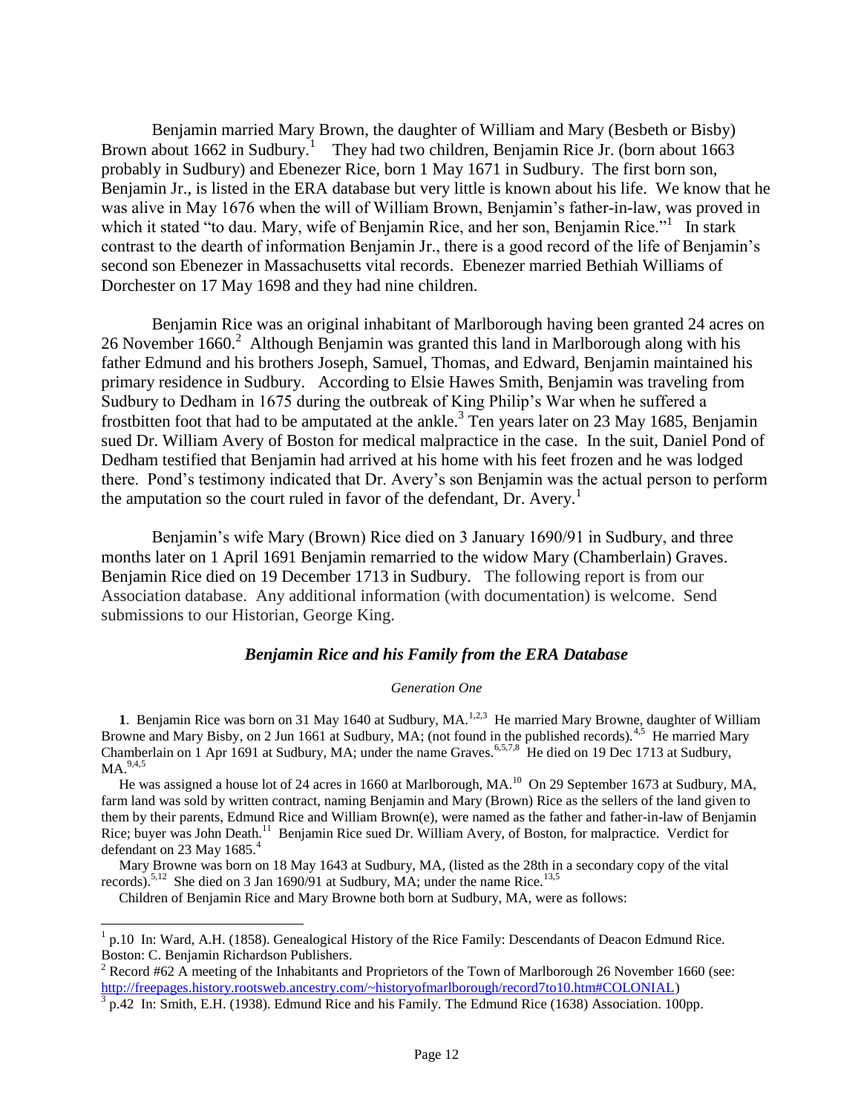Benjamin married Mary Brown, the daughter of William and Mary (Besbeth or Bisby) Brown about 1662 in Sudbury.<sup>1</sup> They had two children, Benjamin Rice Jr. (born about 1663 probably in Sudbury) and Ebenezer Rice, born 1 May 1671 in Sudbury. The first born son, Benjamin Jr., is listed in the ERA database but very little is known about his life. We know that he was alive in May 1676 when the will of William Brown, Benjamin's father-in-law, was proved in which it stated "to dau. Mary, wife of Benjamin Rice, and her son, Benjamin Rice."<sup>1</sup> In stark contrast to the dearth of information Benjamin Jr., there is a good record of the life of Benjamin's second son Ebenezer in Massachusetts vital records. Ebenezer married Bethiah Williams of Dorchester on 17 May 1698 and they had nine children.

Benjamin Rice was an original inhabitant of Marlborough having been granted 24 acres on 26 November 1660.<sup>2</sup> Although Benjamin was granted this land in Marlborough along with his father Edmund and his brothers Joseph, Samuel, Thomas, and Edward, Benjamin maintained his primary residence in Sudbury. According to Elsie Hawes Smith, Benjamin was traveling from Sudbury to Dedham in 1675 during the outbreak of King Philip's War when he suffered a frostbitten foot that had to be amputated at the ankle.<sup>3</sup> Ten years later on 23 May 1685, Benjamin sued Dr. William Avery of Boston for medical malpractice in the case. In the suit, Daniel Pond of Dedham testified that Benjamin had arrived at his home with his feet frozen and he was lodged there. Pond's testimony indicated that Dr. Avery's son Benjamin was the actual person to perform the amputation so the court ruled in favor of the defendant, Dr. Avery.<sup>1</sup>

Benjamin's wife Mary (Brown) Rice died on 3 January 1690/91 in Sudbury, and three months later on 1 April 1691 Benjamin remarried to the widow Mary (Chamberlain) Graves. Benjamin Rice died on 19 December 1713 in Sudbury. The following report is from our Association database. Any additional information (with documentation) is welcome. Send submissions to our Historian, George King.

#### *Benjamin Rice and his Family from the ERA Database*

#### *Generation One*

**1**. Benjamin Rice was born on 31 May 1640 at Sudbury, MA.<sup>1,2,3</sup> He married Mary Browne, daughter of William Browne and Mary Bisby, on 2 Jun 1661 at Sudbury, MA; (not found in the published records).<sup>4,5</sup> He married Mary Chamberlain on 1 Apr 1691 at Sudbury, MA; under the name Graves.<sup>6,5,7,8</sup> He died on 19 Dec 1713 at Sudbury,  $MA.<sup>9,4,5</sup>$ 

He was assigned a house lot of 24 acres in 1660 at Marlborough, MA.<sup>10</sup> On 29 September 1673 at Sudbury, MA, farm land was sold by written contract, naming Benjamin and Mary (Brown) Rice as the sellers of the land given to them by their parents, Edmund Rice and William Brown(e), were named as the father and father-in-law of Benjamin Rice; buyer was John Death.<sup>11</sup> Benjamin Rice sued Dr. William Avery, of Boston, for malpractice. Verdict for defendant on 23 May 1685.<sup>4</sup>

 Mary Browne was born on 18 May 1643 at Sudbury, MA, (listed as the 28th in a secondary copy of the vital records).<sup>5,12</sup> She died on 3 Jan 1690/91 at Sudbury, MA; under the name Rice.<sup>13,5</sup>

Children of Benjamin Rice and Mary Browne both born at Sudbury, MA, were as follows:

 $\overline{a}$ 

<sup>&</sup>lt;sup>1</sup> p.10 In: Ward, A.H. (1858). Genealogical History of the Rice Family: Descendants of Deacon Edmund Rice. Boston: C. Benjamin Richardson Publishers.

<sup>&</sup>lt;sup>2</sup> Record #62 A meeting of the Inhabitants and Proprietors of the Town of Marlborough 26 November 1660 (see: [http://freepages.history.rootsweb.ancestry.com/~historyofmarlborough/record7to10.htm#COLONIAL\)](http://freepages.history.rootsweb.ancestry.com/~historyofmarlborough/record7to10.htm#COLONIAL)

 $3$  p.42 In: Smith, E.H. (1938). Edmund Rice and his Family. The Edmund Rice (1638) Association. 100pp.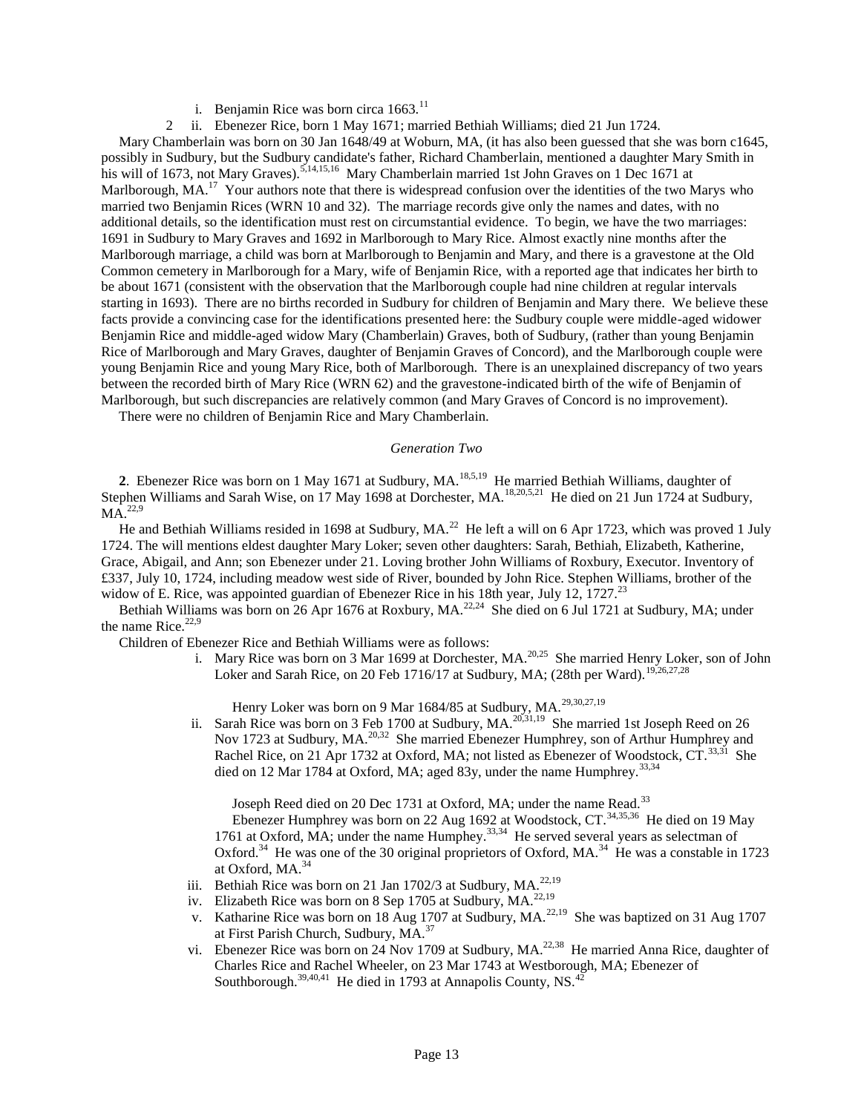- i. Benjamin Rice was born circa  $1663$ <sup>11</sup>
- 2 ii. Ebenezer Rice, born 1 May 1671; married Bethiah Williams; died 21 Jun 1724.

 Mary Chamberlain was born on 30 Jan 1648/49 at Woburn, MA, (it has also been guessed that she was born c1645, possibly in Sudbury, but the Sudbury candidate's father, Richard Chamberlain, mentioned a daughter Mary Smith in his will of 1673, not Mary Graves).<sup>5,14,15,16</sup> Mary Chamberlain married 1st John Graves on 1 Dec 1671 at Marlborough, MA.<sup>17</sup> Your authors note that there is widespread confusion over the identities of the two Marys who married two Benjamin Rices (WRN 10 and 32). The marriage records give only the names and dates, with no additional details, so the identification must rest on circumstantial evidence. To begin, we have the two marriages: 1691 in Sudbury to Mary Graves and 1692 in Marlborough to Mary Rice. Almost exactly nine months after the Marlborough marriage, a child was born at Marlborough to Benjamin and Mary, and there is a gravestone at the Old Common cemetery in Marlborough for a Mary, wife of Benjamin Rice, with a reported age that indicates her birth to be about 1671 (consistent with the observation that the Marlborough couple had nine children at regular intervals starting in 1693). There are no births recorded in Sudbury for children of Benjamin and Mary there. We believe these facts provide a convincing case for the identifications presented here: the Sudbury couple were middle-aged widower Benjamin Rice and middle-aged widow Mary (Chamberlain) Graves, both of Sudbury, (rather than young Benjamin Rice of Marlborough and Mary Graves, daughter of Benjamin Graves of Concord), and the Marlborough couple were young Benjamin Rice and young Mary Rice, both of Marlborough. There is an unexplained discrepancy of two years between the recorded birth of Mary Rice (WRN 62) and the gravestone-indicated birth of the wife of Benjamin of Marlborough, but such discrepancies are relatively common (and Mary Graves of Concord is no improvement).

There were no children of Benjamin Rice and Mary Chamberlain.

#### *Generation Two*

2. Ebenezer Rice was born on 1 May 1671 at Sudbury, MA.<sup>18,5,19</sup> He married Bethiah Williams, daughter of Stephen Williams and Sarah Wise, on 17 May 1698 at Dorchester, MA.<sup>18,20,5,21</sup> He died on 21 Jun 1724 at Sudbury,  $MA.<sup>22,9</sup>$ 

He and Bethiah Williams resided in 1698 at Sudbury, MA.<sup>22</sup> He left a will on 6 Apr 1723, which was proved 1 July 1724. The will mentions eldest daughter Mary Loker; seven other daughters: Sarah, Bethiah, Elizabeth, Katherine, Grace, Abigail, and Ann; son Ebenezer under 21. Loving brother John Williams of Roxbury, Executor. Inventory of £337, July 10, 1724, including meadow west side of River, bounded by John Rice. Stephen Williams, brother of the widow of E. Rice, was appointed guardian of Ebenezer Rice in his 18th year, July 12, 1727.<sup>23</sup>

Bethiah Williams was born on 26 Apr 1676 at Roxbury, MA.<sup>22,24</sup> She died on 6 Jul 1721 at Sudbury, MA; under the name Rice. $22,9$ 

Children of Ebenezer Rice and Bethiah Williams were as follows:

i. Mary Rice was born on 3 Mar 1699 at Dorchester, MA.<sup>20,25</sup> She married Henry Loker, son of John Loker and Sarah Rice, on 20 Feb 1716/17 at Sudbury, MA; (28th per Ward).<sup>19,26,27,28</sup>

Henry Loker was born on 9 Mar 1684/85 at Sudbury, MA.<sup>29,30,27,19</sup>

ii. Sarah Rice was born on 3 Feb 1700 at Sudbury, MA. $20,31,19$  She married 1st Joseph Reed on 26 Nov 1723 at Sudbury, MA.<sup>20,32</sup> She married Ebenezer Humphrey, son of Arthur Humphrey and Rachel Rice, on 21 Apr 1732 at Oxford, MA; not listed as Ebenezer of Woodstock, CT.<sup>33,31</sup> She died on 12 Mar 1784 at Oxford, MA; aged 83y, under the name Humphrey.<sup>33,34</sup>

Joseph Reed died on 20 Dec 1731 at Oxford, MA; under the name Read.<sup>33</sup>

Ebenezer Humphrey was born on 22 Aug 1692 at Woodstock, CT.<sup>34,35,36</sup> He died on 19 May 1761 at Oxford, MA; under the name Humphey.<sup>33,34</sup> He served several years as selectman of Oxford.<sup>34</sup> He was one of the 30 original proprietors of Oxford, MA.<sup>34</sup> He was a constable in 1723 at Oxford, MA.<sup>34</sup>

- iii. Bethiah Rice was born on 21 Jan 1702/3 at Sudbury, MA. $^{22,19}$
- iv. Elizabeth Rice was born on 8 Sep 1705 at Sudbury, MA.<sup>22,19</sup>
- v. Katharine Rice was born on 18 Aug 1707 at Sudbury, MA.<sup>22,19</sup> She was baptized on 31 Aug 1707 at First Parish Church, Sudbury, MA.<sup>37</sup>
- vi. Ebenezer Rice was born on 24 Nov 1709 at Sudbury, MA.<sup>22,38</sup> He married Anna Rice, daughter of Charles Rice and Rachel Wheeler, on 23 Mar 1743 at Westborough, MA; Ebenezer of Southborough.<sup>39,40,41</sup> He died in 1793 at Annapolis County, NS.<sup>42</sup>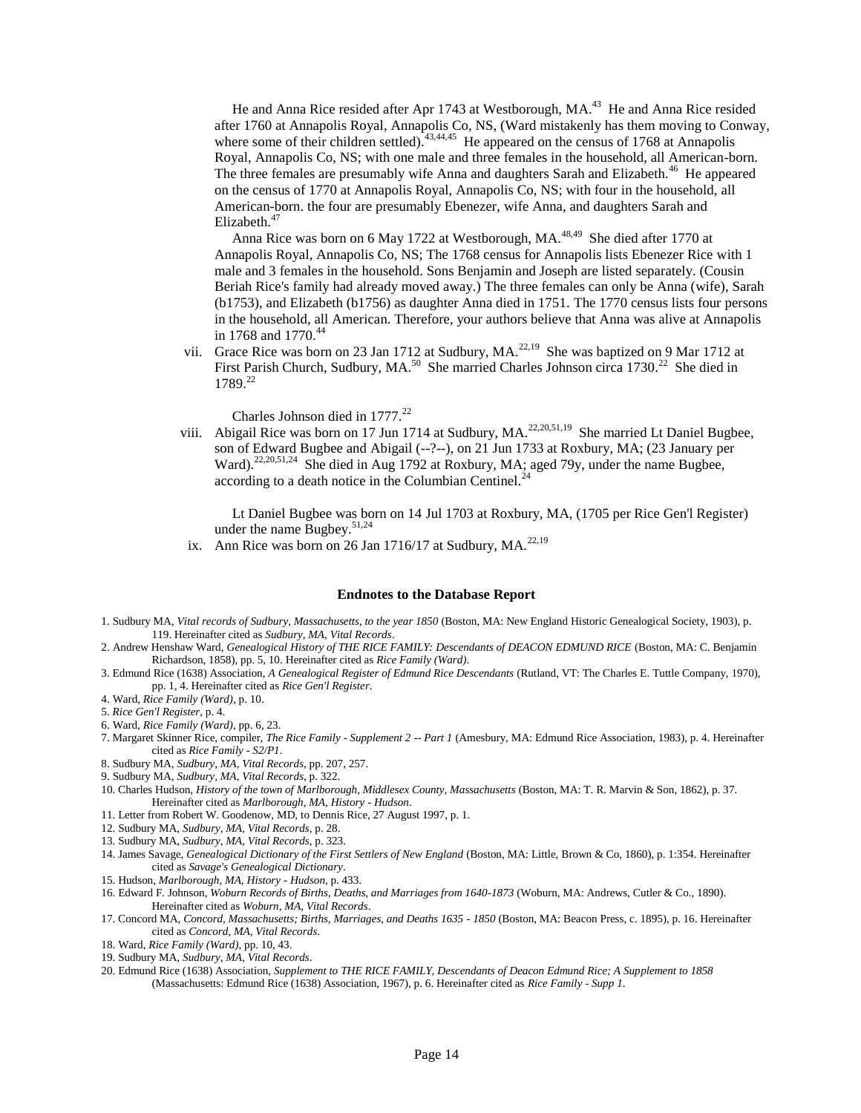He and Anna Rice resided after Apr 1743 at Westborough, MA.<sup>43</sup> He and Anna Rice resided after 1760 at Annapolis Royal, Annapolis Co, NS, (Ward mistakenly has them moving to Conway, where some of their children settled).<sup>43,44,45</sup> He appeared on the census of 1768 at Annapolis Royal, Annapolis Co, NS; with one male and three females in the household, all American-born. The three females are presumably wife Anna and daughters Sarah and Elizabeth.<sup>46</sup> He appeared on the census of 1770 at Annapolis Royal, Annapolis Co, NS; with four in the household, all American-born. the four are presumably Ebenezer, wife Anna, and daughters Sarah and Elizabeth.<sup>47</sup>

Anna Rice was born on 6 May 1722 at Westborough, MA.<sup>48,49</sup> She died after 1770 at Annapolis Royal, Annapolis Co, NS; The 1768 census for Annapolis lists Ebenezer Rice with 1 male and 3 females in the household. Sons Benjamin and Joseph are listed separately. (Cousin Beriah Rice's family had already moved away.) The three females can only be Anna (wife), Sarah (b1753), and Elizabeth (b1756) as daughter Anna died in 1751. The 1770 census lists four persons in the household, all American. Therefore, your authors believe that Anna was alive at Annapolis in 1768 and 1770.<sup>44</sup>

vii. Grace Rice was born on 23 Jan 1712 at Sudbury, MA. $^{22,19}$  She was baptized on 9 Mar 1712 at First Parish Church, Sudbury, MA.<sup>50</sup> She married Charles Johnson circa 1730.<sup>22</sup> She died in 1789.<sup>22</sup>

Charles Johnson died in 1777.<sup>22</sup>

viii. Abigail Rice was born on 17 Jun 1714 at Sudbury, MA. $^{22,20,51,19}$  She married Lt Daniel Bugbee, son of Edward Bugbee and Abigail (--?--), on 21 Jun 1733 at Roxbury, MA; (23 January per Ward).<sup>22,20,51,24</sup> She died in Aug 1792 at Roxbury, MA; aged 79y, under the name Bugbee, according to a death notice in the Columbian Centinel. $^{24}$ 

 Lt Daniel Bugbee was born on 14 Jul 1703 at Roxbury, MA, (1705 per Rice Gen'l Register) under the name Bugbey. $51,24$ 

ix. Ann Rice was born on 26 Jan 1716/17 at Sudbury, MA. $^{22,19}$ 

#### **Endnotes to the Database Report**

- 1. Sudbury MA, *Vital records of Sudbury, Massachusetts, to the year 1850* (Boston, MA: New England Historic Genealogical Society, 1903), p. 119. Hereinafter cited as *Sudbury, MA, Vital Records*.
- 2. Andrew Henshaw Ward, *Genealogical History of THE RICE FAMILY: Descendants of DEACON EDMUND RICE* (Boston, MA: C. Benjamin Richardson, 1858), pp. 5, 10. Hereinafter cited as *Rice Family (Ward)*.
- 3. Edmund Rice (1638) Association, *A Genealogical Register of Edmund Rice Descendants* (Rutland, VT: The Charles E. Tuttle Company, 1970), pp. 1, 4. Hereinafter cited as *Rice Gen'l Register*.
- 4. Ward, *Rice Family (Ward)*, p. 10.
- 5. *Rice Gen'l Register*, p. 4.
- 6. Ward, *Rice Family (Ward)*, pp. 6, 23.
- 7. Margaret Skinner Rice, compiler, *The Rice Family - Supplement 2 -- Part 1* (Amesbury, MA: Edmund Rice Association, 1983), p. 4. Hereinafter cited as *Rice Family - S2/P1*.
- 8. Sudbury MA, *Sudbury, MA, Vital Records*, pp. 207, 257.
- 9. Sudbury MA, *Sudbury, MA, Vital Records*, p. 322.
- 10. Charles Hudson, *History of the town of Marlborough, Middlesex County, Massachusetts* (Boston, MA: T. R. Marvin & Son, 1862), p. 37. Hereinafter cited as *Marlborough, MA, History - Hudson*.
- 11. Letter from Robert W. Goodenow, MD, to Dennis Rice, 27 August 1997, p. 1.
- 12. Sudbury MA, *Sudbury, MA, Vital Records*, p. 28.
- 13. Sudbury MA, *Sudbury, MA, Vital Records*, p. 323.
- 14. James Savage, *Genealogical Dictionary of the First Settlers of New England* (Boston, MA: Little, Brown & Co, 1860), p. 1:354. Hereinafter cited as *Savage's Genealogical Dictionary*.
- 15. Hudson, *Marlborough, MA, History - Hudson*, p. 433.
- 16. Edward F. Johnson, *Woburn Records of Births, Deaths, and Marriages from 1640-1873* (Woburn, MA: Andrews, Cutler & Co., 1890). Hereinafter cited as *Woburn, MA, Vital Records*.
- 17. Concord MA, *Concord, Massachusetts; Births, Marriages, and Deaths 1635 - 1850* (Boston, MA: Beacon Press, c. 1895), p. 16. Hereinafter cited as *Concord, MA, Vital Records*.
- 18. Ward, *Rice Family (Ward)*, pp. 10, 43.
- 19. Sudbury MA, *Sudbury, MA, Vital Records*.
- 20. Edmund Rice (1638) Association, *Supplement to THE RICE FAMILY, Descendants of Deacon Edmund Rice; A Supplement to 1858* (Massachusetts: Edmund Rice (1638) Association, 1967), p. 6. Hereinafter cited as *Rice Family - Supp 1*.